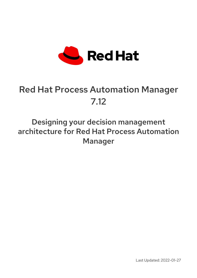

# Red Hat Process Automation Manager 7.12

# Designing your decision management architecture for Red Hat Process Automation Manager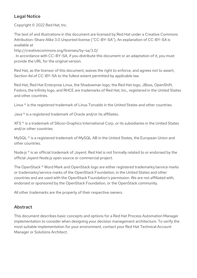### Legal Notice

Copyright © 2022 Red Hat, Inc.

The text of and illustrations in this document are licensed by Red Hat under a Creative Commons Attribution–Share Alike 3.0 Unported license ("CC-BY-SA"). An explanation of CC-BY-SA is available at

http://creativecommons.org/licenses/by-sa/3.0/

. In accordance with CC-BY-SA, if you distribute this document or an adaptation of it, you must provide the URL for the original version.

Red Hat, as the licensor of this document, waives the right to enforce, and agrees not to assert, Section 4d of CC-BY-SA to the fullest extent permitted by applicable law.

Red Hat, Red Hat Enterprise Linux, the Shadowman logo, the Red Hat logo, JBoss, OpenShift, Fedora, the Infinity logo, and RHCE are trademarks of Red Hat, Inc., registered in the United States and other countries.

Linux ® is the registered trademark of Linus Torvalds in the United States and other countries.

Java ® is a registered trademark of Oracle and/or its affiliates.

XFS ® is a trademark of Silicon Graphics International Corp. or its subsidiaries in the United States and/or other countries.

MySQL<sup>®</sup> is a registered trademark of MySQL AB in the United States, the European Union and other countries.

Node.js ® is an official trademark of Joyent. Red Hat is not formally related to or endorsed by the official Joyent Node.js open source or commercial project.

The OpenStack ® Word Mark and OpenStack logo are either registered trademarks/service marks or trademarks/service marks of the OpenStack Foundation, in the United States and other countries and are used with the OpenStack Foundation's permission. We are not affiliated with, endorsed or sponsored by the OpenStack Foundation, or the OpenStack community.

All other trademarks are the property of their respective owners.

### Abstract

This document describes basic concepts and options for a Red Hat Process Automation Manager implementation to consider when designing your decision management architecture. To verify the most suitable implementation for your environment, contact your Red Hat Technical Account Manager or Solutions Architect.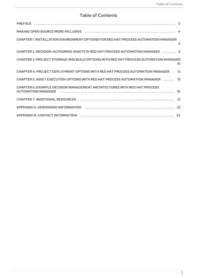### **Table of Contents**

| CHAPTER 1. INSTALLATION ENVIRONMENT OPTIONS FOR RED HAT PROCESS AUTOMATION MANAGER                                                                                                                                                                                                                          | 5.              |
|-------------------------------------------------------------------------------------------------------------------------------------------------------------------------------------------------------------------------------------------------------------------------------------------------------------|-----------------|
| CHAPTER 2. DECISION-AUTHORING ASSETS IN RED HAT PROCESS AUTOMATION MANAGER  6                                                                                                                                                                                                                               |                 |
| CHAPTER 3. PROJECT STORAGE AND BUILD OPTIONS WITH RED HAT PROCESS AUTOMATION MANAGER                                                                                                                                                                                                                        | 10 <sup>°</sup> |
| CHAPTER 4. PROJECT DEPLOYMENT OPTIONS WITH RED HAT PROCESS AUTOMATION MANAGER .  13                                                                                                                                                                                                                         |                 |
| CHAPTER 5. ASSET EXECUTION OPTIONS WITH RED HAT PROCESS AUTOMATION MANAGER  15                                                                                                                                                                                                                              |                 |
| CHAPTER 6. EXAMPLE DECISION MANAGEMENT ARCHITECTURES WITH RED HAT PROCESS<br>AUTOMATION MANAGER (at the contract of the contract of the contract of the contract of the contract of the contract of the contract of the contract of the contract of the contract of the contract of the contract of the con |                 |
|                                                                                                                                                                                                                                                                                                             |                 |
|                                                                                                                                                                                                                                                                                                             |                 |
|                                                                                                                                                                                                                                                                                                             |                 |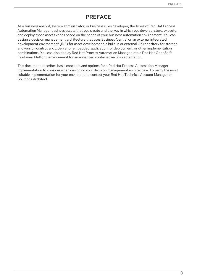### PREFACE

<span id="page-6-0"></span>As a business analyst, system administrator, or business rules developer, the types of Red Hat Process Automation Manager business assets that you create and the way in which you develop, store, execute, and deploy those assets varies based on the needs of your business automation environment. You can design a decision management architecture that uses Business Central or an external integrated development environment (IDE) for asset development, a built-in or external Git repository for storage and version control, a KIE Server or embedded application for deployment, or other implementation combinations. You can also deploy Red Hat Process Automation Manager into a Red Hat OpenShift Container Platform environment for an enhanced containerized implementation.

This document describes basic concepts and options for a Red Hat Process Automation Manager implementation to consider when designing your decision management architecture. To verify the most suitable implementation for your environment, contact your Red Hat Technical Account Manager or Solutions Architect.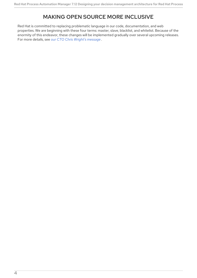### MAKING OPEN SOURCE MORE INCLUSIVE

<span id="page-7-0"></span>Red Hat is committed to replacing problematic language in our code, documentation, and web properties. We are beginning with these four terms: master, slave, blacklist, and whitelist. Because of the enormity of this endeavor, these changes will be implemented gradually over several upcoming releases. For more details, see *our CTO Chris Wright's [message](https://www.redhat.com/en/blog/making-open-source-more-inclusive-eradicating-problematic-language)* .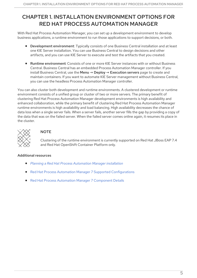# <span id="page-8-0"></span>CHAPTER 1. INSTALLATION ENVIRONMENT OPTIONS FOR RED HAT PROCESS AUTOMATION MANAGER

With Red Hat Process Automation Manager, you can set up a development environment to develop business applications, a runtime environment to run those applications to support decisions, or both.

- Development environment: Typically consists of one Business Central installation and at least one KIE Server installation. You can use Business Central to design decisions and other artifacts, and you can use KIE Server to execute and test the artifacts that you created.
- Runtime environment: Consists of one or more KIE Server instances with or without Business Central. Business Central has an embedded Process Automation Manager controller. If you install Business Central, use the Menu  $\rightarrow$  Deploy  $\rightarrow$  Execution servers page to create and maintain containers. If you want to automate KIE Server management without Business Central, you can use the headless Process Automation Manager controller.

You can also cluster both development and runtime environments. A clustered development or runtime environment consists of a unified group or cluster of two or more servers. The primary benefit of clustering Red Hat Process Automation Manager development environments is high availability and enhanced collaboration, while the primary benefit of clustering Red Hat Process Automation Manager runtime environments is high availability and load balancing. High availability decreases the chance of data loss when a single server fails. When a server fails, another server fills the gap by providing a copy of the data that was on the failed server. When the failed server comes online again, it resumes its place in the cluster.



#### **NOTE**

Clustering of the runtime environment is currently supported on Red Hat JBoss EAP 7.4 and Red Hat OpenShift Container Platform only.

#### Additional resources

- *Planning a Red Hat Process [Automation](https://access.redhat.com/documentation/en-us/red_hat_process_automation_manager/7.12/html-single/installing_and_configuring_red_hat_process_automation_manager#assembly-planning) Manager installation*
- Red Hat Process Automation Manager 7 Supported [Configurations](https://access.redhat.com/articles/3405381)
- Red Hat Process Automation Manager 7 [Component](https://access.redhat.com/articles/3463751) Details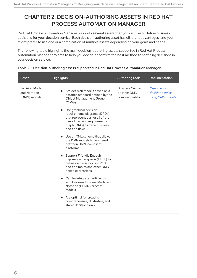# <span id="page-9-0"></span>CHAPTER 2. DECISION-AUTHORING ASSETS IN RED HAT PROCESS AUTOMATION MANAGER

Red Hat Process Automation Manager supports several assets that you can use to define business decisions for your decision service. Each decision-authoring asset has different advantages, and you might prefer to use one or a combination of multiple assets depending on your goals and needs.

The following table highlights the main decision-authoring assets supported in Red Hat Process Automation Manager projects to help you decide or confirm the best method for defining decisions in your decision service.

| Asset                                                 | <b>Highlights</b>                                                                                                                                                                                                                                                                                                                                                                                                                                                                                                                                                                                                                                                                                                                                                                                 | <b>Authoring tools</b>                                       | <b>Documentation</b>                                |
|-------------------------------------------------------|---------------------------------------------------------------------------------------------------------------------------------------------------------------------------------------------------------------------------------------------------------------------------------------------------------------------------------------------------------------------------------------------------------------------------------------------------------------------------------------------------------------------------------------------------------------------------------------------------------------------------------------------------------------------------------------------------------------------------------------------------------------------------------------------------|--------------------------------------------------------------|-----------------------------------------------------|
| <b>Decision Model</b><br>and Notation<br>(DMN) models | Are decision models based on a<br>notation standard defined by the<br><b>Object Management Group</b><br>(OMG)<br>Use graphical decision<br>$\bullet$<br>requirements diagrams (DRDs)<br>that represent part or all of the<br>overall decision requirements<br>graph (DRG) to trace business<br>decision flows<br>Use an XML schema that allows<br>the DMN models to be shared<br>between DMN-compliant<br>platforms<br>Support Friendly Enough<br>$\bullet$<br>Expression Language (FEEL) to<br>define decision logic in DMN<br>decision tables and other DMN<br>boxed expressions<br>Can be integrated efficiently<br>with Business Process Model and<br>Notation (BPMN) process<br>models<br>Are optimal for creating<br>$\bullet$<br>comprehensive, illustrative, and<br>stable decision flows | <b>Business Central</b><br>or other DMN-<br>compliant editor | Designing a<br>decision service<br>using DMN models |
|                                                       |                                                                                                                                                                                                                                                                                                                                                                                                                                                                                                                                                                                                                                                                                                                                                                                                   |                                                              |                                                     |

| Table 2.1. Decision-authoring assets supported in Red Hat Process Automation Manager |  |  |
|--------------------------------------------------------------------------------------|--|--|
|                                                                                      |  |  |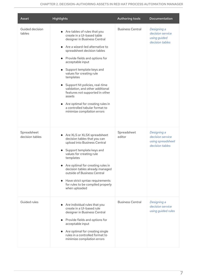| Asset                          | <b>Highlights</b>                                                                                                                                                                                                                                                                                                                                                                                                                                                                                                                                         | <b>Authoring tools</b>  | Documentation                                                           |
|--------------------------------|-----------------------------------------------------------------------------------------------------------------------------------------------------------------------------------------------------------------------------------------------------------------------------------------------------------------------------------------------------------------------------------------------------------------------------------------------------------------------------------------------------------------------------------------------------------|-------------------------|-------------------------------------------------------------------------|
| Guided decision<br>tables      | Are tables of rules that you<br>create in a UI-based table<br>designer in Business Central<br>Are a wizard-led alternative to<br>$\bullet$<br>spreadsheet decision tables<br>Provide fields and options for<br>acceptable input<br>Support template keys and<br>values for creating rule<br>templates<br>Support hit policies, real-time<br>$\bullet$<br>validation, and other additional<br>features not supported in other<br>assets<br>Are optimal for creating rules in<br>$\bullet$<br>a controlled tabular format to<br>minimize compilation errors | <b>Business Central</b> | Designing a<br>decision service<br>using guided<br>decision tables      |
| Spreadsheet<br>decision tables | Are XLS or XLSX spreadsheet<br>decision tables that you can<br>upload into Business Central<br>Support template keys and<br>values for creating rule<br>templates<br>Are optimal for creating rules in<br>decision tables already managed<br>outside of Business Central<br>Have strict syntax requirements<br>$\bullet$<br>for rules to be compiled properly<br>when uploaded                                                                                                                                                                            | Spreadsheet<br>editor   | Designing a<br>decision service<br>using spreadsheet<br>decision tables |
| Guided rules                   | Are individual rules that you<br>create in a UI-based rule<br>designer in Business Central<br>Provide fields and options for<br>acceptable input<br>Are optimal for creating single<br>rules in a controlled format to<br>minimize compilation errors                                                                                                                                                                                                                                                                                                     | <b>Business Central</b> | Designing a<br>decision service<br>using guided rules                   |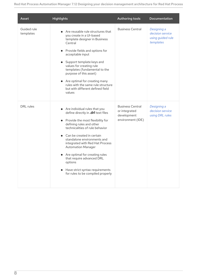| Asset                    | <b>Highlights</b>                                                                                                                                                                                                                                                                                                                                                                                                                                                                           | <b>Authoring tools</b>                                                       | Documentation                                                     |
|--------------------------|---------------------------------------------------------------------------------------------------------------------------------------------------------------------------------------------------------------------------------------------------------------------------------------------------------------------------------------------------------------------------------------------------------------------------------------------------------------------------------------------|------------------------------------------------------------------------------|-------------------------------------------------------------------|
| Guided rule<br>templates | Are reusable rule structures that<br>you create in a UI-based<br>template designer in Business<br>Central<br>Provide fields and options for<br>$\bullet$<br>acceptable input<br>Support template keys and<br>values for creating rule<br>templates (fundamental to the<br>purpose of this asset)<br>Are optimal for creating many<br>rules with the same rule structure<br>but with different defined field<br>values                                                                       | <b>Business Central</b>                                                      | Designing a<br>decision service<br>using guided rule<br>templates |
| DRL rules                | Are individual rules that you<br>$\bullet$<br>define directly in .drl text files<br>Provide the most flexibility for<br>$\bullet$<br>defining rules and other<br>technicalities of rule behavior<br>Can be created in certain<br>$\bullet$<br>standalone environments and<br>integrated with Red Hat Process<br><b>Automation Manager</b><br>Are optimal for creating rules<br>that require advanced DRL<br>options<br>Have strict syntax requirements<br>for rules to be compiled properly | <b>Business Central</b><br>or integrated<br>development<br>environment (IDE) | Designing a<br>decision service<br>using DRL rules                |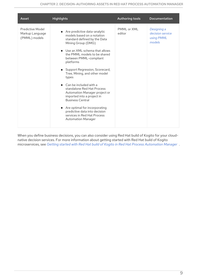| Asset                                                | <b>Highlights</b>                                                                                                                                                                                                                                                                                                                                                                                                                                                                                                                                                                                              | <b>Authoring tools</b> | <b>Documentation</b>                                    |
|------------------------------------------------------|----------------------------------------------------------------------------------------------------------------------------------------------------------------------------------------------------------------------------------------------------------------------------------------------------------------------------------------------------------------------------------------------------------------------------------------------------------------------------------------------------------------------------------------------------------------------------------------------------------------|------------------------|---------------------------------------------------------|
| Predictive Model<br>Markup Language<br>(PMML) models | Are predictive data-analytic<br>models based on a notation<br>standard defined by the Data<br>Mining Group (DMG)<br>Use an XML schema that allows<br>$\bullet$<br>the PMML models to be shared<br>between PMML-compliant<br>platforms<br>Support Regression, Scorecard,<br>Tree, Mining, and other model<br>types<br>Can be included with a<br>standalone Red Hat Process<br>Automation Manager project or<br>imported into a project in<br><b>Business Central</b><br>Are optimal for incorporating<br>$\bullet$<br>predictive data into decision<br>services in Red Hat Process<br><b>Automation Manager</b> | PMML or XML<br>editor  | Designing a<br>decision service<br>using PMML<br>models |

When you define business decisions, you can also consider using Red Hat build of Kogito for your cloudnative decision services. For more information about getting started with Red Hat build of Kogito microservices, see *Getting started with Red Hat build of Kogito in Red Hat Process [Automation](https://access.redhat.com/documentation/en-us/red_hat_process_automation_manager/7.12/html-single/getting_started_with_red_hat_build_of_kogito_in_red_hat_process_automation_manager) Manager* .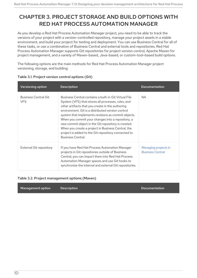# <span id="page-13-0"></span>CHAPTER 3. PROJECT STORAGE AND BUILD OPTIONS WITH RED HAT PROCESS AUTOMATION MANAGER

As you develop a Red Hat Process Automation Manager project, you need to be able to track the versions of your project with a version-controlled repository, manage your project assets in a stable environment, and build your project for testing and deployment. You can use Business Central for all of these tasks, or use a combination of Business Central and external tools and repositories. Red Hat Process Automation Manager supports Git repositories for project version control, Apache Maven for project management, and a variety of Maven-based, Java-based, or custom-tool-based build options.

The following options are the main methods for Red Hat Process Automation Manager project versioning, storage, and building:

| <b>Versioning option</b>                  | <b>Description</b>                                                                                                                                                                                                                                                                                                                                                                                                                                                                                                        | <b>Documentation</b>                            |
|-------------------------------------------|---------------------------------------------------------------------------------------------------------------------------------------------------------------------------------------------------------------------------------------------------------------------------------------------------------------------------------------------------------------------------------------------------------------------------------------------------------------------------------------------------------------------------|-------------------------------------------------|
| <b>Business Central Git</b><br><b>VFS</b> | Business Central contains a built-in Git Virtual File<br>System (VFS) that stores all processes, rules, and<br>other artifacts that you create in the authoring<br>environment. Git is a distributed version control<br>system that implements revisions as commit objects.<br>When you commit your changes into a repository, a<br>new commit object in the Git repository is created.<br>When you create a project in Business Central, the<br>project is added to the Git repository connected to<br>Business Central. | <b>NA</b>                                       |
| External Git repository                   | If you have Red Hat Process Automation Manager<br>projects in Git repositories outside of Business<br>Central, you can import them into Red Hat Process<br>Automation Manager spaces and use Git hooks to<br>synchronize the internal and external Git repositories.                                                                                                                                                                                                                                                      | Managing projects in<br><b>Business Central</b> |

#### Table 3.1. Project version control options (Git)

#### Table 3.2. Project management options (Maven)

| <b>Description</b><br><b>Management option</b> | Documentation |
|------------------------------------------------|---------------|
|------------------------------------------------|---------------|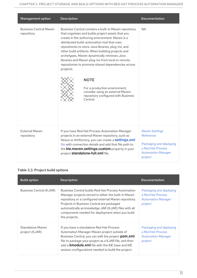| <b>Management option</b>                    | <b>Description</b>                                                                                                                                                                                                                                                                                                                                                                                                                                                                                                                                                                                                                      | <b>Documentation</b>                                                                                                       |
|---------------------------------------------|-----------------------------------------------------------------------------------------------------------------------------------------------------------------------------------------------------------------------------------------------------------------------------------------------------------------------------------------------------------------------------------------------------------------------------------------------------------------------------------------------------------------------------------------------------------------------------------------------------------------------------------------|----------------------------------------------------------------------------------------------------------------------------|
| <b>Business Central Maven</b><br>repository | Business Central contains a built-in Maven repository<br>that organizes and builds project assets that you<br>create in the authoring environment. Maven is a<br>distributed build-automation tool that uses<br>repositories to store Java libraries, plug-ins, and<br>other build artifacts. When building projects and<br>archetypes, Maven dynamically retrieves Java<br>libraries and Maven plug-ins from local or remote<br>repositories to promote shared dependencies across<br>projects.<br><b>NOTE</b><br>For a production environment,<br>consider using an external Maven<br>repository configured with Business<br>Central. | <b>NA</b>                                                                                                                  |
| <b>External Maven</b><br>repository         | If you have Red Hat Process Automation Manager<br>projects in an external Maven repository, such as<br>Nexus or Artifactory, you can create a <b>settings.xml</b><br>file with connection details and add that file path to<br>the kie.maven.settings.custom property in your<br>project standalone-full.xml file.                                                                                                                                                                                                                                                                                                                      | <b>Maven Settings</b><br>Reference<br>Packaging and deploying<br>a Red Hat Process<br><b>Automation Manager</b><br>project |

### Table 3.3. Project build options

| <b>Build option</b>                | <b>Description</b>                                                                                                                                                                                                                                                                                                                           | <b>Documentation</b>                                                                 |
|------------------------------------|----------------------------------------------------------------------------------------------------------------------------------------------------------------------------------------------------------------------------------------------------------------------------------------------------------------------------------------------|--------------------------------------------------------------------------------------|
| Business Central (KJAR)            | Business Central builds Red Hat Process Automation<br>Manager projects stored in either the built-in Maven<br>repository or a configured external Maven repository.<br>Projects in Business Central are packaged<br>automatically as knowledge JAR (KJAR) files with all<br>components needed for deployment when you build<br>the projects. | Packaging and deploying<br>a Red Hat Process<br><b>Automation Manager</b><br>project |
| Standalone Maven<br>project (KJAR) | If you have a standalone Red Hat Process<br>Automation Manager Maven project outside of<br>Business Central, you can edit the project pom.xml<br>file to package your project as a KJAR file, and then<br>add a <b>kmodule.xml</b> file with the KIE base and KIE<br>session configurations needed to build the project.                     | Packaging and deploying<br>a Red Hat Process<br><b>Automation Manager</b><br>project |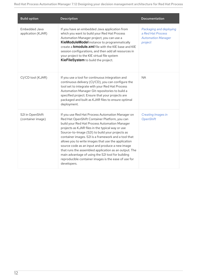| <b>Build option</b>                   | <b>Description</b>                                                                                                                                                                                                                                                                                                                                                                                                                                                                                                                                                                                               | Documentation                                                                        |
|---------------------------------------|------------------------------------------------------------------------------------------------------------------------------------------------------------------------------------------------------------------------------------------------------------------------------------------------------------------------------------------------------------------------------------------------------------------------------------------------------------------------------------------------------------------------------------------------------------------------------------------------------------------|--------------------------------------------------------------------------------------|
| Embedded Java<br>application (KJAR)   | If you have an embedded Java application from<br>which you want to build your Red Hat Process<br>Automation Manager project, you can use a<br><b>KieModuleModel</b> instance to programmatically<br>create a <b>kmodule.xml</b> file with the KIE base and KIE<br>session configurations, and then add all resources in<br>your project to the KIE virtual file system<br>KieFileSystem to build the project.                                                                                                                                                                                                    | Packaging and deploying<br>a Red Hat Process<br><b>Automation Manager</b><br>project |
| CI/CD tool (KJAR)                     | If you use a tool for continuous integration and<br>continuous delivery (CI/CD), you can configure the<br>tool set to integrate with your Red Hat Process<br>Automation Manager Git repositories to build a<br>specified project. Ensure that your projects are<br>packaged and built as KJAR files to ensure optimal<br>deployment.                                                                                                                                                                                                                                                                             | <b>NA</b>                                                                            |
| S2I in OpenShift<br>(container image) | If you use Red Hat Process Automation Manager on<br>Red Hat OpenShift Container Platform, you can<br>build your Red Hat Process Automation Manager<br>projects as KJAR files in the typical way or use<br>Source-to-Image (S2I) to build your projects as<br>container images. S2I is a framework and a tool that<br>allows you to write images that use the application<br>source code as an input and produce a new image<br>that runs the assembled application as an output. The<br>main advantage of using the S2I tool for building<br>reproducible container images is the ease of use for<br>developers. | Creating Images in<br>OpenShift                                                      |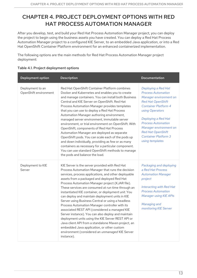## <span id="page-16-0"></span>CHAPTER 4. PROJECT DEPLOYMENT OPTIONS WITH RED HAT PROCESS AUTOMATION MANAGER

After you develop, test, and build your Red Hat Process Automation Manager project, you can deploy the project to begin using the business assets you have created. You can deploy a Red Hat Process Automation Manager project to a configured KIE Server, to an embedded Java application, or into a Red Hat OpenShift Container Platform environment for an enhanced containerized implementation.

The following options are the main methods for Red Hat Process Automation Manager project deployment:

| Deployment option                         | Description                                                                                                                                                                                                                                                                                                                                                                                                                                                                                                                                                                                                                                                                                                                                                                                                                                                            | Documentation                                                                                                                                                                                                                                                                                                        |
|-------------------------------------------|------------------------------------------------------------------------------------------------------------------------------------------------------------------------------------------------------------------------------------------------------------------------------------------------------------------------------------------------------------------------------------------------------------------------------------------------------------------------------------------------------------------------------------------------------------------------------------------------------------------------------------------------------------------------------------------------------------------------------------------------------------------------------------------------------------------------------------------------------------------------|----------------------------------------------------------------------------------------------------------------------------------------------------------------------------------------------------------------------------------------------------------------------------------------------------------------------|
| Deployment to an<br>OpenShift environment | Red Hat OpenShift Container Platform combines<br>Docker and Kubernetes and enables you to create<br>and manage containers. You can install both Business<br>Central and KIE Server on OpenShift. Red Hat<br>Process Automation Manager provides templates<br>that you can use to deploy a Red Hat Process<br>Automation Manager authoring environment,<br>managed server environment, immutable server<br>environment, or trial environment on OpenShift. With<br>OpenShift, components of Red Hat Process<br>Automation Manager are deployed as separate<br>OpenShift pods. You can scale each of the pods up<br>and down individually, providing as few or as many<br>containers as necessary for a particular component.<br>You can use standard OpenShift methods to manage<br>the pods and balance the load.                                                      | Deploying a Red Hat<br><b>Process Automation</b><br>Manager environment on<br><b>Red Hat OpenShift</b><br><b>Container Platform 4</b><br>using Operators<br>Deploying a Red Hat<br><b>Process Automation</b><br>Manager environment on<br><b>Red Hat OpenShift</b><br><b>Container Platform 3</b><br>using templates |
| Deployment to KIE<br>Server               | KIE Server is the server provided with Red Hat<br>Process Automation Manager that runs the decision<br>services, process applications, and other deployable<br>assets from a packaged and deployed Red Hat<br>Process Automation Manager project (KJAR file).<br>These services are consumed at run time through an<br>instantiated KIE container, or deployment unit. You<br>can deploy and maintain deployment units in KIE<br>Server using Business Central or using a headless<br>Process Automation Manager controller with its<br>associated REST API (considered a managed KIE<br>Server instance). You can also deploy and maintain<br>deployment units using the KIE Server REST API or<br>Java client API from a standalone Maven project, an<br>embedded Java application, or other custom<br>environment (considered an unmanaged KIE Server<br>instance). | Packaging and deploying<br>a Red Hat Process<br><b>Automation Manager</b><br>project<br><b>Interacting with Red Hat</b><br><b>Process Automation</b><br><b>Manager using KIE APIs</b><br>Managing and<br>monitoring KIE Server                                                                                       |

#### Table 4.1. Project deployment options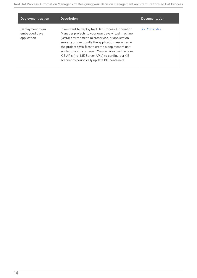| <b>Deployment option</b>                         | <b>Description</b>                                                                                                                                                                                                                                                                                                                                                                                                                   | <b>Documentation</b>  |
|--------------------------------------------------|--------------------------------------------------------------------------------------------------------------------------------------------------------------------------------------------------------------------------------------------------------------------------------------------------------------------------------------------------------------------------------------------------------------------------------------|-----------------------|
| Deployment to an<br>embedded Java<br>application | If you want to deploy Red Hat Process Automation<br>Manager projects to your own Java virtual machine<br>(JVM) environment, microservice, or application<br>server, you can bundle the application resources in<br>the project WAR files to create a deployment unit<br>similar to a KIF container. You can also use the core<br>KIE APIs (not KIE Server APIs) to configure a KIE<br>scanner to periodically update KIE containers. | <b>KIF Public API</b> |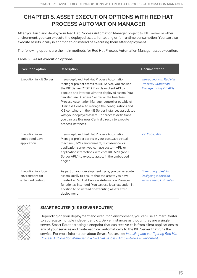# <span id="page-18-0"></span>CHAPTER 5. ASSET EXECUTION OPTIONS WITH RED HAT PROCESS AUTOMATION MANAGER

After you build and deploy your Red Hat Process Automation Manager project to KIE Server or other environment, you can execute the deployed assets for testing or for runtime consumption. You can also execute assets locally in addition to or instead of executing them after deployment.

The following options are the main methods for Red Hat Process Automation Manager asset execution:

| <b>Execution option</b>                                     | <b>Description</b>                                                                                                                                                                                                                                                                                                                                                                                                                                                                                                                                         | <b>Documentation</b>                                                                          |
|-------------------------------------------------------------|------------------------------------------------------------------------------------------------------------------------------------------------------------------------------------------------------------------------------------------------------------------------------------------------------------------------------------------------------------------------------------------------------------------------------------------------------------------------------------------------------------------------------------------------------------|-----------------------------------------------------------------------------------------------|
| <b>Execution in KIE Server</b>                              | If you deployed Red Hat Process Automation<br>Manager project assets to KIE Server, you can use<br>the KIE Server REST API or Java client API to<br>execute and interact with the deployed assets. You<br>can also use Business Central or the headless<br>Process Automation Manager controller outside of<br>Business Central to manage the configurations and<br>KIE containers in the KIE Server instances associated<br>with your deployed assets. For process definitions,<br>you can use Business Central directly to execute<br>process instances. | <b>Interacting with Red Hat</b><br><b>Process Automation</b><br><b>Manager using KIE APIs</b> |
| Execution in an<br>embedded Java<br>application             | If you deployed Red Hat Process Automation<br>Manager project assets in your own Java virtual<br>machine (JVM) environment, microservice, or<br>application server, you can use custom APIs or<br>application interactions with core KIE APIs (not KIE<br>Server APIs) to execute assets in the embedded<br>engine.                                                                                                                                                                                                                                        | <b>KIE Public API</b>                                                                         |
| Execution in a local<br>environment for<br>extended testing | As part of your development cycle, you can execute<br>assets locally to ensure that the assets you have<br>created in Red Hat Process Automation Manager<br>function as intended. You can use local execution in<br>addition to or instead of executing assets after<br>deployment.                                                                                                                                                                                                                                                                        | "Executing rules" in<br>Designing a decision<br>service using DRL rules                       |

#### Table 5.1. Asset execution options



#### SMART ROUTER (KIE SERVER ROUTER)

Depending on your deployment and execution environment, you can use a Smart Router to aggregate multiple independent KIE Server instances as though they are a single server. Smart Router is a single endpoint that can receive calls from client applications to any of your services and route each call automatically to the KIE Server that runs the service. For more information about Smart Router, see *Installing and configuring Red Hat Process Automation Manager in a Red Hat JBoss EAP clustered [environment](https://access.redhat.com/documentation/en-us/red_hat_process_automation_manager/7.12/html-single/installing_and_configuring_red_hat_process_automation_manager#clustering-smartrouter-install-proc_clustering-runtime-standalone)*.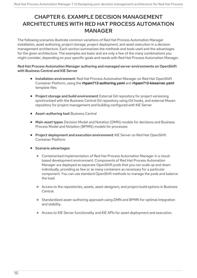## <span id="page-19-0"></span>CHAPTER 6. EXAMPLE DECISION MANAGEMENT ARCHITECTURES WITH RED HAT PROCESS AUTOMATION MANAGER

The following scenarios illustrate common variations of Red Hat Process Automation Manager installation, asset authoring, project storage, project deployment, and asset execution in a decision management architecture. Each section summarizes the methods and tools used and the advantages for the given architecture. The examples are basic and are only a few of the many combinations you might consider, depending on your specific goals and needs with Red Hat Process Automation Manager.

#### Red Hat Process Automation Manager authoring and managed server environments on OpenShift with Business Central and KIE Server

- **Installation environment:** Red Hat Process Automation Manager on Red Hat OpenShift Container Platform, using the **rhpam712-authoring.yaml** and **rhpam712-kieserver.yaml** template files
- Project storage and build environment: External Git repository for project versioning synchronized with the Business Central Git repository using Git hooks, and external Maven repository for project management and building configured with KIE Server
- **Asset-authoring tool: Business Central**
- Main asset types: Decision Model and Notation (DMN) models for decisions and Business Process Model and Notation (BPMN) models for processes
- **Project deployment and execution environment:** KIE Server on Red Hat OpenShift Container Platform
- **•** Scenario advantages:
	- Containerized implementation of Red Hat Process Automation Manager in a cloudbased development environment. Components of Red Hat Process Automation Manager are deployed as separate OpenShift pods that you can scale up and down individually, providing as few or as many containers as necessary for a particular component. You can use standard OpenShift methods to manage the pods and balance the load.
	- Access to the repositories, assets, asset designers, and project build options in Business Central.
	- Standardized asset-authoring approach using DMN and BPMN for optimal integration and stability.
	- Access to KIE Server functionality and KIE APIs for asset deployment and execution.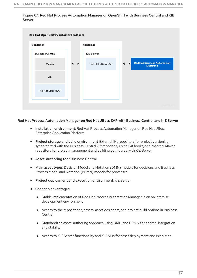Figure 6.1. Red Hat Process Automation Manager on OpenShift with Business Central and KIE Server



#### Red Hat Process Automation Manager on Red Hat JBoss EAP with Business Central and KIE Server

- **Installation environment:** Red Hat Process Automation Manager on Red Hat JBoss Enterprise Application Platform
- Project storage and build environment: External Git repository for project versioning synchronized with the Business Central Git repository using Git hooks, and external Maven repository for project management and building configured with KIE Server
- **Asset-authoring tool: Business Central**
- Main asset types: Decision Model and Notation (DMN) models for decisions and Business Process Model and Notation (BPMN) models for processes
- Project deployment and execution environment: KIE Server
- **•** Scenario advantages:
	- Stable implementation of Red Hat Process Automation Manager in an on-premise development environment
	- Access to the repositories, assets, asset designers, and project build options in Business Central
	- Standardized asset-authoring approach using DMN and BPMN for optimal integration and stability
	- Access to KIE Server functionality and KIE APIs for asset deployment and execution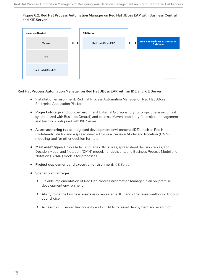Figure 6.2. Red Hat Process Automation Manager on Red Hat JBoss EAP with Business Central and KIE Server



#### Red Hat Process Automation Manager on Red Hat JBoss EAP with an IDE and KIE Server

- **Installation environment:** Red Hat Process Automation Manager on Red Hat JBoss Enterprise Application Platform
- Project storage and build environment External Git repository for project versioning (not synchronized with Business Central) and external Maven repository for project management and building configured with KIE Server
- Asset-authoring tools: Integrated development environment (IDE), such as Red Hat CodeReady Studio, and a spreadsheet editor or a Decision Model and Notation (DMN) modeling tool for other decision formats
- Main asset types: Drools Rule Language (DRL) rules, spreadsheet decision tables, and Decision Model and Notation (DMN) models for decisions, and Business Process Model and Notation (BPMN) models for processes
- Project deployment and execution environment: KIE Server
- Scenario advantages:
	- Flexible implementation of Red Hat Process Automation Manager in an on-premise development environment
	- Ability to define business assets using an external IDE and other asset-authoring tools of your choice
	- Access to KIE Server functionality and KIE APIs for asset deployment and execution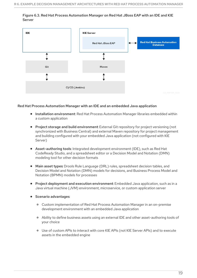Figure 6.3. Red Hat Process Automation Manager on Red Hat JBoss EAP with an IDE and KIE Server



#### Red Hat Process Automation Manager with an IDE and an embedded Java application

- **Installation environment:** Red Hat Process Automation Manager libraries embedded within a custom application
- **Project storage and build environment** External Git repository for project versioning (not synchronized with Business Central) and external Maven repository for project management and building configured with your embedded Java application (not configured with KIE Server)
- Asset-authoring tools: Integrated development environment (IDE), such as Red Hat CodeReady Studio, and a spreadsheet editor or a Decision Model and Notation (DMN) modeling tool for other decision formats
- Main asset types: Drools Rule Language (DRL) rules, spreadsheet decision tables, and Decision Model and Notation (DMN) models for decisions, and Business Process Model and Notation (BPMN) models for processes
- Project deployment and execution environment: Embedded Java application, such as in a Java virtual machine (JVM) environment, microservice, or custom application server
- **•** Scenario advantages:
	- Custom implementation of Red Hat Process Automation Manager in an on-premise development environment with an embedded Java application
	- Ability to define business assets using an external IDE and other asset-authoring tools of your choice
	- Use of custom APIs to interact with core KIE APIs (not KIE Server APIs) and to execute assets in the embedded engine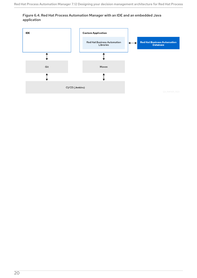#### Figure 6.4. Red Hat Process Automation Manager with an IDE and an embedded Java application

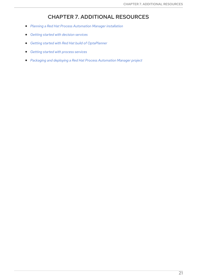### CHAPTER 7. ADDITIONAL RESOURCES

- <span id="page-24-0"></span>*Planning a Red Hat Process [Automation](https://access.redhat.com/documentation/en-us/red_hat_process_automation_manager/7.12/html-single/installing_and_configuring_red_hat_process_automation_manager#assembly-planning) Manager installation*
- *Getting started with [decision](https://access.redhat.com/documentation/en-us/red_hat_process_automation_manager/7.12/html-single/getting_started_with_red_hat_process_automation_manager#assembly-getting-started-decision-services) services*
- *Getting started with Red Hat build of [OptaPlanner](https://access.redhat.com/documentation/en-us/red_hat_process_automation_manager/7.12/html-single/getting_started_with_red_hat_process_automation_manager#assembly-getting-started-business-optimizer)*  $\bullet$
- *Getting started with process [services](https://access.redhat.com/documentation/en-us/red_hat_process_automation_manager/7.12/html-single/getting_started_with_red_hat_process_automation_manager#assembly-getting-started-process-services)*
- *Packaging and deploying a Red Hat Process [Automation](https://access.redhat.com/documentation/en-us/red_hat_process_automation_manager/7.12/html-single/deploying_and_managing_red_hat_process_automation_manager_services#assembly-packaging-deploying) Manager project*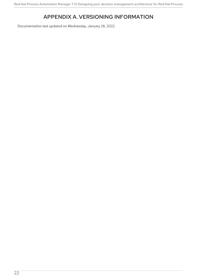# APPENDIX A. VERSIONING INFORMATION

<span id="page-25-0"></span>Documentation last updated on Wednesday, January 26, 2022.